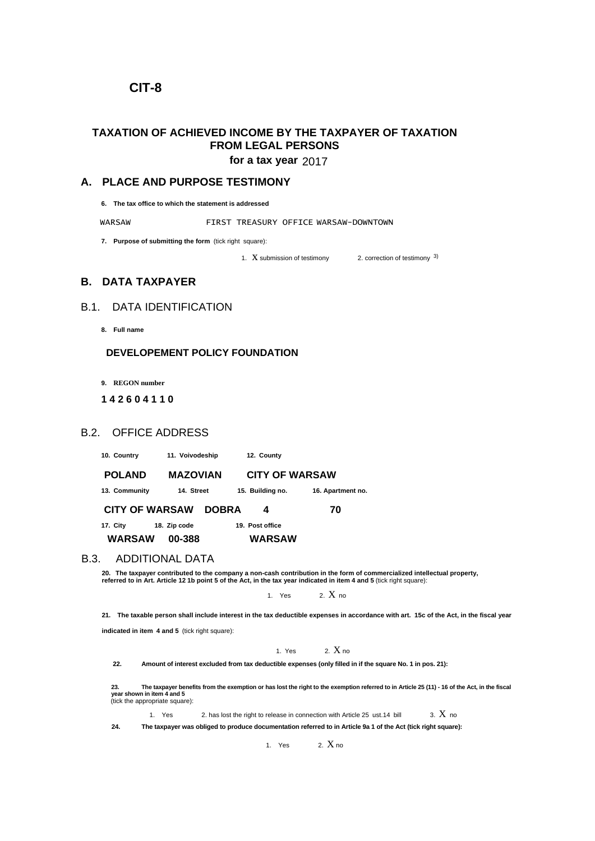# **CIT-8**

# **TAXATION OF ACHIEVED INCOME BY THE TAXPAYER OF TAXATION FROM LEGAL PERSONS**

for a tax year 2017

## **A. PLACE AND PURPOSE TESTIMONY**

**6. The tax office to which the statement is addressed**

WARSAW FIRST TREASURY OFFICE WARSAW-DOWNTOWN

**7. Purpose of submitting the form** (tick right square):

1.  $X$  submission of testimony 2. correction of testimony  $3$ )

# **B. DATA TAXPAYER**

# B.1. DATA IDENTIFICATION

**8. Full name**

#### **DEVELOPEMENT POLICY FOUNDATION**

**9. REGON number**

#### **1 4 2 6 0 4 1 1 0**

### B.2. OFFICE ADDRESS

**10. Country 11. Voivodeship 12. County**

 **POLAND MAZOVIAN CITY OF WARSAW 13. Community 14. Street 15. Building no. 16. Apartment no. CITY OF WARSAW DOBRA 4 70**

**17. City 18. Zip code 19. Post office WARSAW 00-388 WARSAW**

#### B.3. ADDITIONAL DATA

**20. The taxpayer contributed to the company a non-cash contribution in the form of commercialized intellectual property, referred to in Art. Article 12 1b point 5 of the Act, in the tax year indicated in item 4 and 5** (tick right square):

1. Yes  $2 \text{ X}$  no

**21. The taxable person shall include interest in the tax deductible expenses in accordance with art. 15c of the Act, in the fiscal year** 

**indicated in item 4 and 5** (tick right square):

1. Yes  $2. X_{10}$ 

**22. Amount of interest excluded from tax deductible expenses (only filled in if the square No. 1 in pos. 21):**

23.<br>year shown in item 4 and 5<br>(tick the appropriate square):<br>(tick the appropriate square):

1. Yes 2. has lost the right to release in connection with Article 25 ust.14 bill  $\qquad$  3.  $X$  no

**24. The taxpayer was obliged to produce documentation referred to in Article 9a 1 of the Act (tick right square):**

1. Yes  $2. X_{\text{no}}$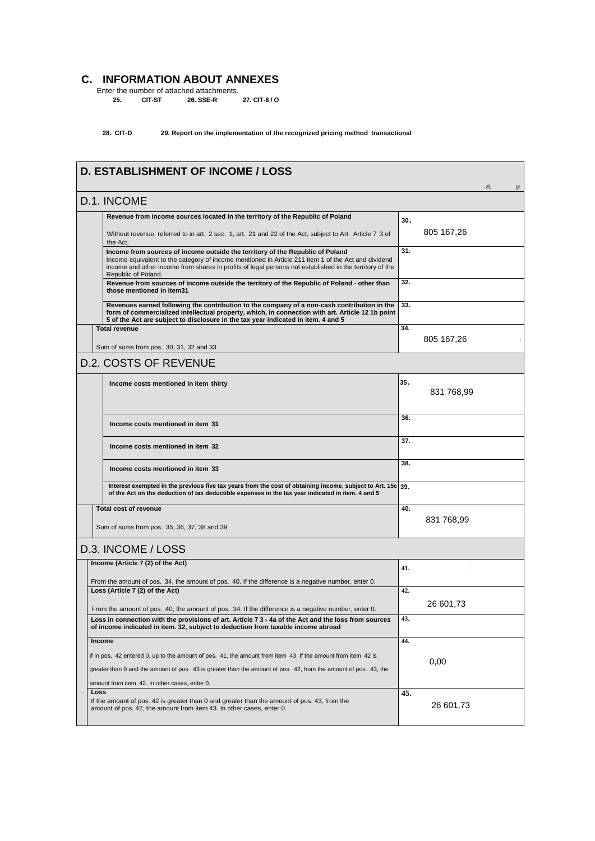# **C. INFORMATION ABOUT ANNEXES**

Enter the number of attached attachments. **25. CIT-ST 26. SSE-R 27. CIT-8 / O** 

**28. CIT-D 29. Report on the implementation of the recognized pricing method transactional**

| <b>D. ESTABLISHMENT OF INCOME / LOSS</b>                                                                                                                                                                                                                                                                               |     |            | zł. | gr |  |
|------------------------------------------------------------------------------------------------------------------------------------------------------------------------------------------------------------------------------------------------------------------------------------------------------------------------|-----|------------|-----|----|--|
| D.1. INCOME                                                                                                                                                                                                                                                                                                            |     |            |     |    |  |
| Revenue from income sources located in the territory of the Republic of Poland                                                                                                                                                                                                                                         | 30. |            |     |    |  |
| Without revenue, referred to in art. 2 sec. 1, art. 21 and 22 of the Act, subject to Art. Article 7 3 of<br>the Act.                                                                                                                                                                                                   |     | 805 167,26 |     |    |  |
| Income from sources of income outside the territory of the Republic of Poland<br>Income equivalent to the category of income mentioned in Article 211 item 1 of the Act and dividend<br>income and other income from shares in profits of legal persons not established in the territory of the<br>Republic of Poland. | 31. |            |     |    |  |
| Revenue from sources of income outside the territory of the Republic of Poland - other than<br>those mentioned in item31                                                                                                                                                                                               |     |            |     |    |  |
| Revenues earned following the contribution to the company of a non-cash contribution in the<br>form of commercialized intellectual property, which, in connection with art. Article 12 1b point<br>5 of the Act are subject to disclosure in the tax year indicated in item. 4 and 5                                   | 33. |            |     |    |  |
| <b>Total revenue</b>                                                                                                                                                                                                                                                                                                   | 34. |            |     |    |  |
| Sum of sums from pos. 30, 31, 32 and 33                                                                                                                                                                                                                                                                                |     | 805 167,26 |     |    |  |
| <b>D.2. COSTS OF REVENUE</b>                                                                                                                                                                                                                                                                                           |     |            |     |    |  |
| Income costs mentioned in item thirty                                                                                                                                                                                                                                                                                  | 35. | 831 768,99 |     |    |  |
| Income costs mentioned in item 31                                                                                                                                                                                                                                                                                      | 36. |            |     |    |  |
| Income costs mentioned in item 32                                                                                                                                                                                                                                                                                      | 37. |            |     |    |  |
| Income costs mentioned in item 33                                                                                                                                                                                                                                                                                      | 38. |            |     |    |  |
| Interest exempted in the previous five tax years from the cost of obtaining income, subject to Art. 15c 39.<br>of the Act on the deduction of tax deductible expenses in the tax year indicated in item. 4 and 5                                                                                                       |     |            |     |    |  |
| <b>Total cost of revenue</b>                                                                                                                                                                                                                                                                                           | 40. |            |     |    |  |
| Sum of sums from pos. 35, 36, 37, 38 and 39                                                                                                                                                                                                                                                                            |     | 831 768,99 |     |    |  |
| D.3. INCOME / LOSS                                                                                                                                                                                                                                                                                                     |     |            |     |    |  |
| Income (Article 7 (2) of the Act)                                                                                                                                                                                                                                                                                      | 41. |            |     |    |  |
| From the amount of pos. 34, the amount of pos. 40. If the difference is a negative number, enter 0.<br>Loss (Article 7 (2) of the Act)                                                                                                                                                                                 | 42. |            |     |    |  |
| From the amount of pos. 40, the amount of pos. 34. If the difference is a negative number, enter 0.                                                                                                                                                                                                                    |     | 26 601,73  |     |    |  |
| Loss in connection with the provisions of art. Article 7 3 - 4a of the Act and the loss from sources<br>of income indicated in item. 32, subject to deduction from taxable income abroad                                                                                                                               | 43. |            |     |    |  |
| Income                                                                                                                                                                                                                                                                                                                 | 44. |            |     |    |  |
| If in pos. 42 entered 0, up to the amount of pos. 41, the amount from item 43. If the amount from item 42 is                                                                                                                                                                                                           |     | 0,00       |     |    |  |
| greater than 0 and the amount of pos. 43 is greater than the amount of pos. 42, from the amount of pos. 43, the                                                                                                                                                                                                        |     |            |     |    |  |
| amount from item 42. In other cases, enter 0.<br>Loss                                                                                                                                                                                                                                                                  | 45. |            |     |    |  |
| If the amount of pos. 42 is greater than 0 and greater than the amount of pos. 43, from the<br>amount of pos. 42, the amount from item 43. In other cases, enter 0.                                                                                                                                                    |     | 26 601,73  |     |    |  |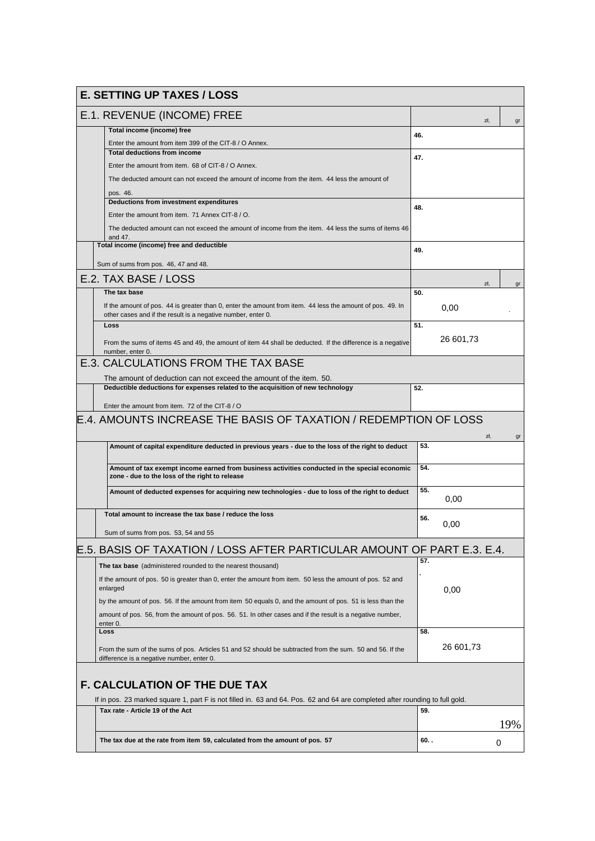| <b>E. SETTING UP TAXES / LOSS</b>                                                                                                                                         |         |           |     |
|---------------------------------------------------------------------------------------------------------------------------------------------------------------------------|---------|-----------|-----|
| E.1. REVENUE (INCOME) FREE                                                                                                                                                |         | zł.       | gr  |
| Total income (income) free                                                                                                                                                | 46.     |           |     |
| Enter the amount from item 399 of the CIT-8 / O Annex.                                                                                                                    |         |           |     |
| <b>Total deductions from income</b>                                                                                                                                       | 47.     |           |     |
| Enter the amount from item. 68 of CIT-8 / O Annex.                                                                                                                        |         |           |     |
| The deducted amount can not exceed the amount of income from the item. 44 less the amount of                                                                              |         |           |     |
| pos. 46.                                                                                                                                                                  |         |           |     |
| Deductions from investment expenditures                                                                                                                                   | 48.     |           |     |
| Enter the amount from item. 71 Annex CIT-8 / O.                                                                                                                           |         |           |     |
| The deducted amount can not exceed the amount of income from the item. 44 less the sums of items 46<br>and 47.                                                            |         |           |     |
| Total income (income) free and deductible                                                                                                                                 | 49.     |           |     |
| Sum of sums from pos. 46, 47 and 48.                                                                                                                                      |         |           |     |
|                                                                                                                                                                           |         |           |     |
| E.2. TAX BASE / LOSS                                                                                                                                                      |         | zł.       | gr  |
| The tax base                                                                                                                                                              | 50.     |           |     |
| If the amount of pos. 44 is greater than 0, enter the amount from item. 44 less the amount of pos. 49. In<br>other cases and if the result is a negative number, enter 0. |         | 0,00      |     |
| Loss                                                                                                                                                                      | 51.     |           |     |
| From the sums of items 45 and 49, the amount of item 44 shall be deducted. If the difference is a negative                                                                |         | 26 601,73 |     |
| number, enter 0.<br><b>E.3. CALCULATIONS FROM THE TAX BASE</b>                                                                                                            |         |           |     |
|                                                                                                                                                                           |         |           |     |
| The amount of deduction can not exceed the amount of the item. 50.                                                                                                        |         |           |     |
| Deductible deductions for expenses related to the acquisition of new technology                                                                                           | 52.     |           |     |
| Enter the amount from item. 72 of the CIT-8 / O                                                                                                                           |         |           |     |
| E.4. AMOUNTS INCREASE THE BASIS OF TAXATION / REDEMPTION OF LOSS                                                                                                          |         |           |     |
|                                                                                                                                                                           |         |           |     |
| Amount of capital expenditure deducted in previous years - due to the loss of the right to deduct                                                                         | 53.     | zł.       | gr  |
|                                                                                                                                                                           |         |           |     |
| Amount of tax exempt income earned from business activities conducted in the special economic<br>zone - due to the loss of the right to release                           | 54.     |           |     |
| Amount of deducted expenses for acquiring new technologies - due to loss of the right to deduct                                                                           | 55.     |           |     |
|                                                                                                                                                                           |         | 0,00      |     |
| Total amount to increase the tax base / reduce the loss                                                                                                                   | 56.     |           |     |
|                                                                                                                                                                           |         | 0,00      |     |
| Sum of sums from pos. 53, 54 and 55                                                                                                                                       |         |           |     |
| E.5. BASIS OF TAXATION / LOSS AFTER PARTICULAR AMOUNT OF PART E.3. E.4.                                                                                                   |         |           |     |
| The tax base (administered rounded to the nearest thousand)                                                                                                               | 57.     |           |     |
| If the amount of pos. 50 is greater than 0, enter the amount from item. 50 less the amount of pos. 52 and<br>enlarged                                                     |         | 0,00      |     |
|                                                                                                                                                                           |         |           |     |
| by the amount of pos. 56. If the amount from item 50 equals 0, and the amount of pos. 51 is less than the                                                                 |         |           |     |
| amount of pos. 56, from the amount of pos. 56. 51. In other cases and if the result is a negative number,<br>enter 0.                                                     |         |           |     |
| Loss                                                                                                                                                                      | 58.     |           |     |
|                                                                                                                                                                           |         | 26 601,73 |     |
| From the sum of the sums of pos. Articles 51 and 52 should be subtracted from the sum. 50 and 56. If the<br>difference is a negative number, enter 0.                     |         |           |     |
|                                                                                                                                                                           |         |           |     |
| <b>F. CALCULATION OF THE DUE TAX</b>                                                                                                                                      |         |           |     |
| If in pos. 23 marked square 1, part F is not filled in. 63 and 64. Pos. 62 and 64 are completed after rounding to full gold.                                              |         |           |     |
| Tax rate - Article 19 of the Act                                                                                                                                          | 59.     |           |     |
|                                                                                                                                                                           |         |           | 19% |
| The tax due at the rate from item 59, calculated from the amount of pos. 57                                                                                               | $60.$ . |           | 0   |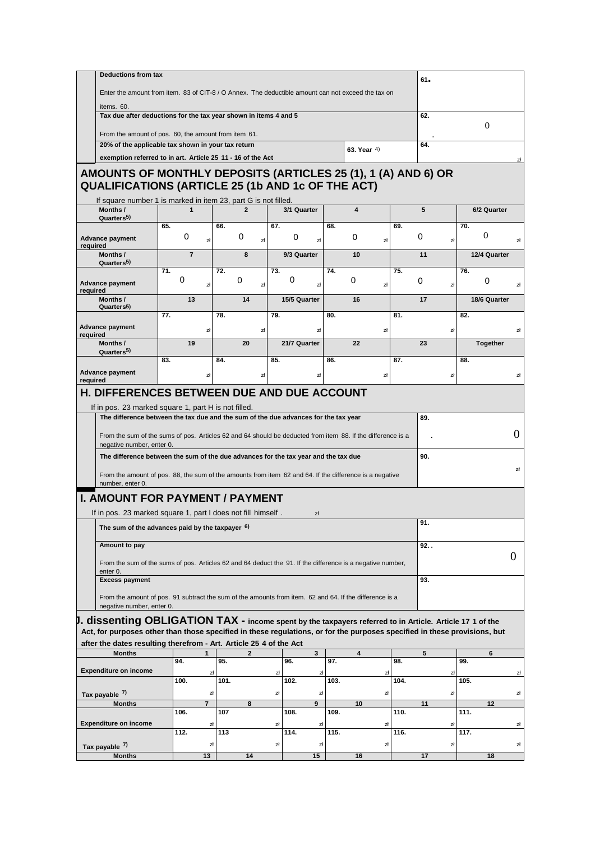| <b>Deductions from tax</b>                                                                                                                                                                                                              |                                                                                                                                                                                                                                        |                |              |     |                                |      |                         |          |      | $61 -$  |                       |                |  |
|-----------------------------------------------------------------------------------------------------------------------------------------------------------------------------------------------------------------------------------------|----------------------------------------------------------------------------------------------------------------------------------------------------------------------------------------------------------------------------------------|----------------|--------------|-----|--------------------------------|------|-------------------------|----------|------|---------|-----------------------|----------------|--|
| Enter the amount from item. 83 of CIT-8 / O Annex. The deductible amount can not exceed the tax on                                                                                                                                      |                                                                                                                                                                                                                                        |                |              |     |                                |      |                         |          |      |         |                       |                |  |
| items. 60.                                                                                                                                                                                                                              |                                                                                                                                                                                                                                        |                |              |     |                                |      |                         |          |      |         |                       |                |  |
| Tax due after deductions for the tax year shown in items 4 and 5                                                                                                                                                                        |                                                                                                                                                                                                                                        |                |              |     |                                |      |                         | 62.<br>0 |      |         |                       |                |  |
| From the amount of pos. 60, the amount from item 61.                                                                                                                                                                                    |                                                                                                                                                                                                                                        |                |              |     |                                |      |                         |          |      |         |                       |                |  |
| 20% of the applicable tax shown in your tax return                                                                                                                                                                                      |                                                                                                                                                                                                                                        |                |              |     |                                |      | 63. Year 4)             |          |      | 64.     |                       |                |  |
| exemption referred to in art. Article 25 11 - 16 of the Act                                                                                                                                                                             |                                                                                                                                                                                                                                        |                |              |     |                                |      |                         |          |      |         |                       | zł             |  |
| AMOUNTS OF MONTHLY DEPOSITS (ARTICLES 25 (1), 1 (A) AND 6) OR<br><b>QUALIFICATIONS (ARTICLE 25 (1b AND 1c OF THE ACT)</b>                                                                                                               |                                                                                                                                                                                                                                        |                |              |     |                                |      |                         |          |      |         |                       |                |  |
| If square number 1 is marked in item 23, part G is not filled.                                                                                                                                                                          |                                                                                                                                                                                                                                        |                |              |     |                                |      |                         |          |      |         |                       |                |  |
| Months /<br>Quarters <sup>5)</sup>                                                                                                                                                                                                      | $\mathbf 1$                                                                                                                                                                                                                            |                | $\mathbf{2}$ |     | 3/1 Quarter                    |      | $\overline{\mathbf{4}}$ |          |      | 5       | 6/2 Quarter           |                |  |
|                                                                                                                                                                                                                                         | 65.<br>0                                                                                                                                                                                                                               |                | 66.<br>0     | 67. | 0                              | 68.  | 0                       |          | 69.  | 0       | 70.<br>0              |                |  |
| <b>Advance payment</b><br>required                                                                                                                                                                                                      |                                                                                                                                                                                                                                        | zł             | zł           |     | zł                             |      |                         | zł       |      | zł      |                       | zł             |  |
| Months /<br>Quarters <sup>5)</sup>                                                                                                                                                                                                      | $\overline{7}$                                                                                                                                                                                                                         |                | 8            |     | 9/3 Quarter                    |      | 10                      |          |      | 11      | 12/4 Quarter          |                |  |
|                                                                                                                                                                                                                                         | 71.                                                                                                                                                                                                                                    |                | 72.          | 73. |                                | 74.  |                         |          | 75.  |         | 76.                   |                |  |
| <b>Advance payment</b><br>required                                                                                                                                                                                                      | 0                                                                                                                                                                                                                                      | zł             | 0<br>zł      |     | 0<br>zł                        |      | 0                       | zł       |      | 0<br>zł | 0                     | zł             |  |
| Months /                                                                                                                                                                                                                                | 13                                                                                                                                                                                                                                     |                | 14           |     | 15/5 Quarter                   |      | 16                      |          |      | 17      | 18/6 Quarter          |                |  |
| Quarters <sup>5</sup> )                                                                                                                                                                                                                 | 77.                                                                                                                                                                                                                                    |                | 78.          | 79. |                                | 80.  |                         |          | 81.  |         | 82.                   |                |  |
| <b>Advance payment</b>                                                                                                                                                                                                                  |                                                                                                                                                                                                                                        | zł             | zł           |     | zł                             |      |                         | zł       |      | zł      |                       | zł             |  |
| required<br>Months /                                                                                                                                                                                                                    | 19                                                                                                                                                                                                                                     |                | 20           |     | 21/7 Quarter                   |      | 22                      |          |      | 23      | Together              |                |  |
| Quarters <sup>5)</sup>                                                                                                                                                                                                                  | 83.                                                                                                                                                                                                                                    |                | 84.          | 85. |                                | 86.  |                         |          | 87.  |         | 88.                   |                |  |
| <b>Advance payment</b>                                                                                                                                                                                                                  |                                                                                                                                                                                                                                        | zł             | zł           |     | zł                             |      |                         | zł       |      | zł      |                       | zł             |  |
|                                                                                                                                                                                                                                         | From the sum of the sums of pos. Articles 62 and 64 should be deducted from item 88. If the difference is a<br>negative number, enter 0.<br>The difference between the sum of the due advances for the tax year and the tax due<br>90. |                |              |     |                                |      |                         |          |      | 0       |                       |                |  |
| From the amount of pos. 88, the sum of the amounts from item 62 and 64. If the difference is a negative<br>number, enter 0.                                                                                                             |                                                                                                                                                                                                                                        |                |              |     |                                |      |                         |          | zł   |         |                       |                |  |
| <b>I. AMOUNT FOR PAYMENT / PAYMENT</b><br>If in pos. 23 marked square 1, part I does not fill himself.                                                                                                                                  |                                                                                                                                                                                                                                        |                |              |     |                                |      |                         |          |      |         |                       |                |  |
|                                                                                                                                                                                                                                         |                                                                                                                                                                                                                                        |                |              |     | zł                             |      |                         |          |      | 91.     |                       |                |  |
| The sum of the advances paid by the taxpayer $6$ )                                                                                                                                                                                      |                                                                                                                                                                                                                                        |                |              |     |                                |      |                         |          |      |         |                       |                |  |
| Amount to pay                                                                                                                                                                                                                           |                                                                                                                                                                                                                                        |                |              |     |                                |      |                         |          |      | 92. .   |                       |                |  |
| From the sum of the sums of pos. Articles 62 and 64 deduct the 91. If the difference is a negative number,                                                                                                                              |                                                                                                                                                                                                                                        |                |              |     |                                |      |                         |          |      |         |                       | $\overline{0}$ |  |
| enter <sub>0</sub> .<br><b>Excess payment</b>                                                                                                                                                                                           |                                                                                                                                                                                                                                        |                |              |     |                                |      |                         |          |      | 93.     |                       |                |  |
| From the amount of pos. 91 subtract the sum of the amounts from item. 62 and 64. If the difference is a<br>negative number, enter 0.                                                                                                    |                                                                                                                                                                                                                                        |                |              |     |                                |      |                         |          |      |         |                       |                |  |
|                                                                                                                                                                                                                                         |                                                                                                                                                                                                                                        |                |              |     |                                |      |                         |          |      |         |                       |                |  |
| $J.$ dissenting OBLIGATION TAX - income spent by the taxpayers referred to in Article. Article 17 1 of the<br>Act, for purposes other than those specified in these regulations, or for the purposes specified in these provisions, but |                                                                                                                                                                                                                                        |                |              |     |                                |      |                         |          |      |         |                       |                |  |
| after the dates resulting therefrom - Art. Article 25 4 of the Act                                                                                                                                                                      |                                                                                                                                                                                                                                        |                |              |     |                                |      |                         |          |      |         |                       |                |  |
| <b>Months</b>                                                                                                                                                                                                                           | 94.                                                                                                                                                                                                                                    | $\mathbf{1}$   | 2<br>95.     |     | $\overline{\mathbf{3}}$<br>96. | 97.  | 4                       |          | 98.  | 5       | $6\phantom{a}$<br>99. |                |  |
| <b>Expenditure on income</b>                                                                                                                                                                                                            |                                                                                                                                                                                                                                        | zł             |              | zł  | zł                             |      |                         | zł       |      | zł      |                       | zł             |  |
|                                                                                                                                                                                                                                         | 100.                                                                                                                                                                                                                                   |                | 101.         |     | 102.                           | 103. |                         |          | 104. |         | 105.                  |                |  |
| Tax payable 7)                                                                                                                                                                                                                          |                                                                                                                                                                                                                                        | zł             |              | zł  | zł                             |      |                         | zł       |      | zł      |                       | zł             |  |
| <b>Months</b>                                                                                                                                                                                                                           | 106.                                                                                                                                                                                                                                   | $\overline{7}$ | 8<br>107     |     | $\overline{9}$<br>108.         | 109. | 10                      |          | 110. | 11      | 12<br>111.            |                |  |
| <b>Expenditure on income</b>                                                                                                                                                                                                            |                                                                                                                                                                                                                                        | zł             |              | zł  | zł                             |      |                         | zł       |      | zł      |                       | zł             |  |
|                                                                                                                                                                                                                                         | 112.                                                                                                                                                                                                                                   |                | 113          |     | 114.                           | 115. |                         |          | 116. |         | 117.                  |                |  |
| Tax payable 7)                                                                                                                                                                                                                          |                                                                                                                                                                                                                                        | zł             |              | zł  | zł                             |      |                         | zł       |      | zł      |                       | zł             |  |
| <b>Months</b>                                                                                                                                                                                                                           |                                                                                                                                                                                                                                        | 13             | 14           |     | 15                             |      | 16                      |          |      | 17      | 18                    |                |  |